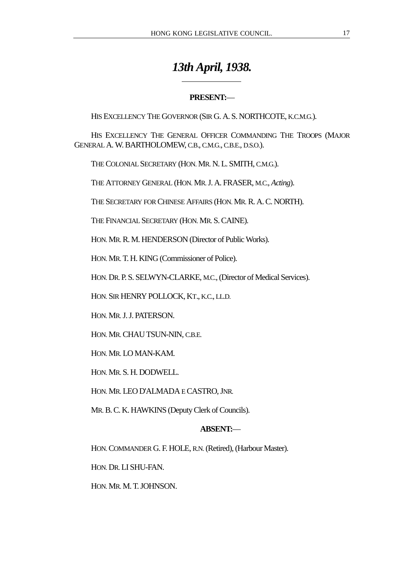# *13th April, 1938.*

# **PRESENT:**—

HIS EXCELLENCY THE GOVERNOR (SIR G. A. S. NORTHCOTE, K.C.M.G.).

HIS EXCELLENCY THE GENERAL OFFICER COMMANDING THE TROOPS (MAJOR GENERAL A. W. BARTHOLOMEW, C.B., C.M.G., C.B.E., D.S.O.).

THE COLONIAL SECRETARY (HON. MR. N. L. SMITH, C.M.G.).

 $\overline{a}$ 

THE ATTORNEY GENERAL (HON. MR. J. A. FRASER, M.C., *Acting*).

THE SECRETARY FOR CHINESE AFFAIRS (HON. MR. R. A. C. NORTH).

THE FINANCIAL SECRETARY (HON. MR. S. CAINE).

HON. MR. R. M. HENDERSON (Director of Public Works).

HON. MR. T. H. KING (Commissioner of Police).

HON. DR. P. S. SELWYN-CLARKE, M.C., (Director of Medical Services).

HON. SIR HENRY POLLOCK, KT., K.C., LL.D.

HON. MR. J. J. PATERSON.

HON. MR. CHAU TSUN-NIN, C.B.E.

HON. MR. LO MAN-KAM.

HON. MR. S. H. DODWELL.

HON. MR. LEO D'ALMADA E CASTRO, JNR.

MR. B. C. K. HAWKINS (Deputy Clerk of Councils).

## **ABSENT:**—

HON. COMMANDER G. F. HOLE, R.N. (Retired), (Harbour Master).

HON. DR. LI SHU-FAN.

HON. MR. M. T. JOHNSON.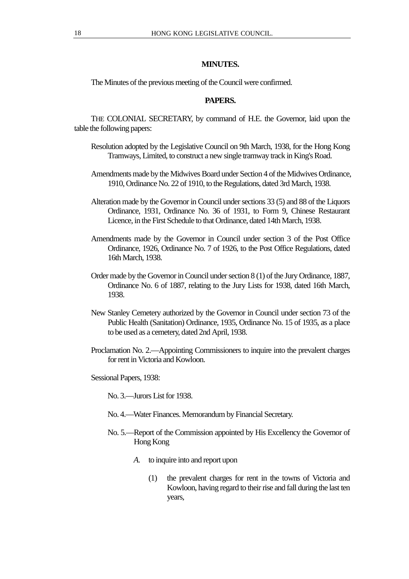## **MINUTES.**

The Minutes of the previous meeting of the Council were confirmed.

## **PAPERS.**

THE COLONIAL SECRETARY, by command of H.E. the Governor, laid upon the table the following papers:

- Resolution adopted by the Legislative Council on 9th March, 1938, for the Hong Kong Tramways, Limited, to construct a new single tramway track in King's Road.
- Amendments made by the Midwives Board under Section 4 of the Midwives Ordinance, 1910, Ordinance No. 22 of 1910, to the Regulations, dated 3rd March, 1938.
- Alteration made by the Governor in Council under sections 33 (5) and 88 of the Liquors Ordinance, 1931, Ordinance No. 36 of 1931, to Form 9, Chinese Restaurant Licence, in the First Schedule to that Ordinance, dated 14th March, 1938.
- Amendments made by the Governor in Council under section 3 of the Post Office Ordinance, 1926, Ordinance No. 7 of 1926, to the Post Office Regulations, dated 16th March, 1938.
- Order made by the Governor in Council under section 8 (1) of the Jury Ordinance, 1887, Ordinance No. 6 of 1887, relating to the Jury Lists for 1938, dated 16th March, 1938.
- New Stanley Cemetery authorized by the Governor in Council under section 73 of the Public Health (Sanitation) Ordinance, 1935, Ordinance No. 15 of 1935, as a place to be used as a cemetery, dated 2nd April, 1938.
- Proclamation No. 2.—Appointing Commissioners to inquire into the prevalent charges for rent in Victoria and Kowloon.
- Sessional Papers, 1938:
	- No. 3.—Jurors List for 1938.
	- No. 4.—Water Finances. Memorandum by Financial Secretary.
	- No. 5.—Report of the Commission appointed by His Excellency the Governor of Hong Kong
		- *A*. to inquire into and report upon
			- (1) the prevalent charges for rent in the towns of Victoria and Kowloon, having regard to their rise and fall during the last ten years,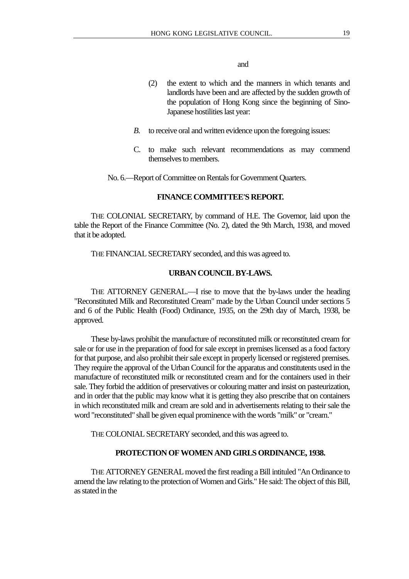#### and

- (2) the extent to which and the manners in which tenants and landlords have been and are affected by the sudden growth of the population of Hong Kong since the beginning of Sino-Japanese hostilities last year:
- *B.* to receive oral and written evidence upon the foregoing issues:
- C. to make such relevant recommendations as may commend themselves to members.

No. 6.—Report of Committee on Rentals for Government Quarters.

#### **FINANCE COMMITTEE'S REPORT.**

THE COLONIAL SECRETARY, by command of H.E. The Governor, laid upon the table the Report of the Finance Committee (No. 2), dated the 9th March, 1938, and moved that it be adopted.

THE FINANCIAL SECRETARY seconded, and this was agreed to.

#### **URBAN COUNCIL BY-LAWS.**

THE ATTORNEY GENERAL.—I rise to move that the by-laws under the heading "Reconstituted Milk and Reconstituted Cream" made by the Urban Council under sections 5 and 6 of the Public Health (Food) Ordinance, 1935, on the 29th day of March, 1938, be approved.

These by-laws prohibit the manufacture of reconstituted milk or reconstituted cream for sale or for use in the preparation of food for sale except in premises licensed as a food factory for that purpose, and also prohibit their sale except in properly licensed or registered premises. They require the approval of the Urban Council for the apparatus and constitutents used in the manufacture of reconstituted milk or reconstituted cream and for the containers used in their sale. They forbid the addition of preservatives or colouring matter and insist on pasteurization, and in order that the public may know what it is getting they also prescribe that on containers in which reconstituted milk and cream are sold and in advertisements relating to their sale the word "reconstituted" shall be given equal prominence with the words "milk" or "cream."

THE COLONIAL SECRETARY seconded, and this was agreed to.

#### **PROTECTION OF WOMEN AND GIRLS ORDINANCE, 1938.**

THE ATTORNEY GENERAL moved the first reading a Bill intituled "An Ordinance to amend the law relating to the protection of Women and Girls." He said: The object of this Bill, as stated in the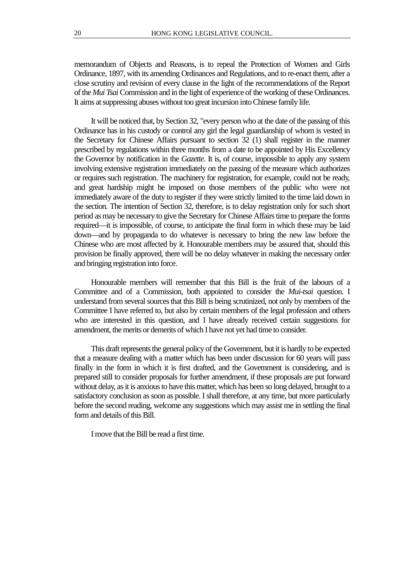memorandum of Objects and Reasons, is to repeal the Protection of Women and Girls Ordinance, 1897, with its amending Ordinances and Regulations, and to re-enact them, after a close scrutiny and revision of every clause in the light of the recommendations of the Report of the *Mui Tsai* Commission and in the light of experience of the working of these Ordinances. It aims at suppressing abuses without too great incursion into Chinese family life.

It will be noticed that, by Section 32, "every person who at the date of the passing of this Ordinance has in his custody or control any girl the legal guardianship of whom is vested in the Secretary for Chinese Affairs pursuant to section 32 (1) shall register in the manner prescribed by regulations within three months from a date to be appointed by His Excellency the Governor by notification in the *Gazette*. It is, of course, impossible to apply any system involving extensive registration immediately on the passing of the measure which authorizes or requires such registration. The machinery for registration, for example, could not be ready, and great hardship might be imposed on those members of the public who were not immediately aware of the duty to register if they were strictly limited to the time laid down in the section. The intention of Section 32, therefore, is to delay registration only for such short period as may be necessary to give the Secretary for Chinese Affairs time to prepare the forms required—it is impossible, of course, to anticipate the final form in which these may be laid down—and by propaganda to do whatever is necessary to bring the new law before the Chinese who are most affected by it. Honourable members may be assured that, should this provision be finally approved, there will be no delay whatever in making the necessary order and bringing registration into force.

Honourable members will remember that this Bill is the fruit of the labours of a Committee and of a Commission, both appointed to consider the *Mui-tsai* question. I understand from several sources that this Bill is being scrutinized, not only by members of the Committee I have referred to, but also by certain members of the legal profession and others who are interested in this question, and I have already received certain suggestions for amendment, the merits or demerits of which I have not yet had time to consider.

This draft represents the general policy of the Government, but it is hardly to be expected that a measure dealing with a matter which has been under discussion for 60 years will pass finally in the form in which it is first drafted, and the Government is considering, and is prepared still to consider proposals for further amendment, if these proposals are put forward without delay, as it is anxious to have this matter, which has been so long delayed, brought to a satisfactory conclusion as soon as possible. I shall therefore, at any time, but more particularly before the second reading, welcome any suggestions which may assist me in settling the final form and details of this Bill.

I move that the Bill be read a first time.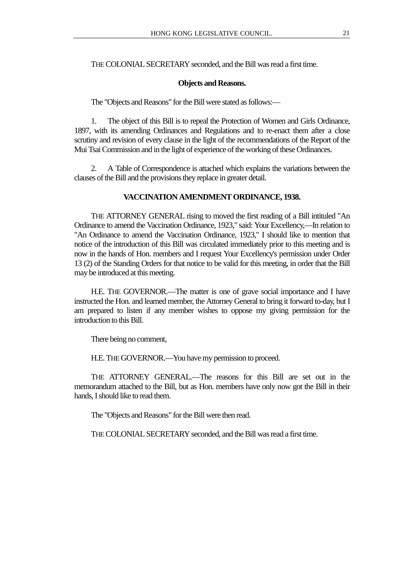# THE COLONIAL SECRETARY seconded, and the Bill was read a first time.

#### **Objects and Reasons.**

The "Objects and Reasons" for the Bill were stated as follows:—

1. The object of this Bill is to repeal the Protection of Women and Girls Ordinance, 1897, with its amending Ordinances and Regulations and to re-enact them after a close scrutiny and revision of every clause in the light of the recommendations of the Report of the Mui Tsai Commission and in the light of experience of the working of these Ordinances.

2. A Table of Correspondence is attached which explains the variations between the clauses of the Bill and the provisions they replace in greater detail.

#### **VACCINATION AMENDMENT ORDINANCE, 1938.**

THE ATTORNEY GENERAL rising to moved the first reading of a Bill intituled "An Ordinance to amend the Vaccination Ordinance, 1923," said: Your Excellency,—In relation to "An Ordinance to amend the Vaccination Ordinance, 1923," I should like to mention that notice of the introduction of this Bill was circulated immediately prior to this meeting and is now in the hands of Hon. members and I request Your Excellency's permission under Order 13 (2) of the Standing Orders for that notice to be valid for this meeting, in order that the Bill may be introduced at this meeting.

H.E. THE GOVERNOR.—The matter is one of grave social importance and I have instructed the Hon. and learned member, the Attorney General to bring it forward to-day, but I am prepared to listen if any member wishes to oppose my giving permission for the introduction to this Bill.

There being no comment,

H.E. THE GOVERNOR.—You have my permission to proceed.

THE ATTORNEY GENERAL.—The reasons for this Bill are set out in the memorandum attached to the Bill, but as Hon. members have only now got the Bill in their hands, I should like to read them.

The "Objects and Reasons" for the Bill were then read.

THE COLONIAL SECRETARY seconded, and the Bill was read a first time.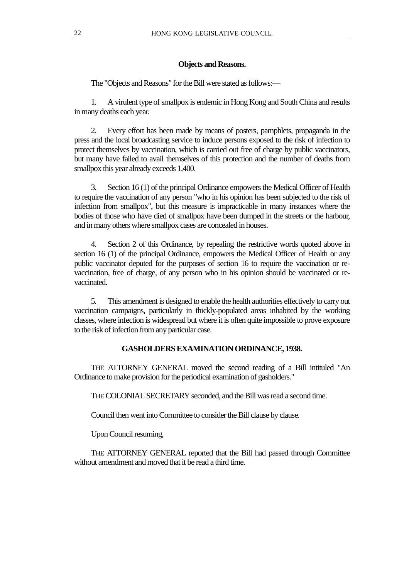## **Objects and Reasons.**

The "Objects and Reasons" for the Bill were stated as follows:—

1. A virulent type of smallpox is endemic in Hong Kong and South China and results in many deaths each year.

2. Every effort has been made by means of posters, pamphlets, propaganda in the press and the local broadcasting service to induce persons exposed to the risk of infection to protect themselves by vaccination, which is carried out free of charge by public vaccinators, but many have failed to avail themselves of this protection and the number of deaths from smallpox this year already exceeds 1,400.

3. Section 16 (1) of the principal Ordinance empowers the Medical Officer of Health to require the vaccination of any person "who in his opinion has been subjected to the risk of infection from smallpox", but this measure is impracticable in many instances where the bodies of those who have died of smallpox have been dumped in the streets or the harbour, and in many others where smallpox cases are concealed in houses.

4. Section 2 of this Ordinance, by repealing the restrictive words quoted above in section 16 (1) of the principal Ordinance, empowers the Medical Officer of Health or any public vaccinator deputed for the purposes of section 16 to require the vaccination or revaccination, free of charge, of any person who in his opinion should be vaccinated or revaccinated.

5. This amendment is designed to enable the health authorities effectively to carry out vaccination campaigns, particularly in thickly-populated areas inhabited by the working classes, where infection is widespread but where it is often quite impossible to prove exposure to the risk of infection from any particular case.

# **GASHOLDERS EXAMINATION ORDINANCE, 1938.**

THE ATTORNEY GENERAL moved the second reading of a Bill intituled "An Ordinance to make provision for the periodical examination of gasholders."

THE COLONIAL SECRETARY seconded, and the Bill was read a second time.

Council then went into Committee to consider the Bill clause by clause.

Upon Council resuming,

THE ATTORNEY GENERAL reported that the Bill had passed through Committee without amendment and moved that it be read a third time.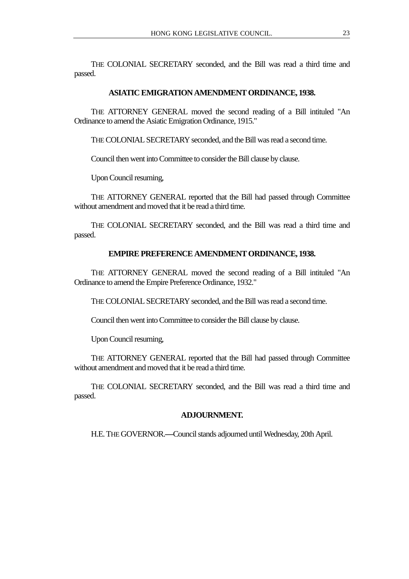THE COLONIAL SECRETARY seconded, and the Bill was read a third time and passed.

## **ASIATIC EMIGRATION AMENDMENT ORDINANCE, 1938.**

THE ATTORNEY GENERAL moved the second reading of a Bill intituled "An Ordinance to amend the Asiatic Emigration Ordinance, 1915."

THE COLONIAL SECRETARY seconded, and the Bill was read a second time.

Council then went into Committee to consider the Bill clause by clause.

Upon Council resuming,

THE ATTORNEY GENERAL reported that the Bill had passed through Committee without amendment and moved that it be read a third time.

THE COLONIAL SECRETARY seconded, and the Bill was read a third time and passed.

## **EMPIRE PREFERENCE AMENDMENT ORDINANCE, 1938.**

THE ATTORNEY GENERAL moved the second reading of a Bill intituled "An Ordinance to amend the Empire Preference Ordinance, 1932."

THE COLONIAL SECRETARY seconded, and the Bill was read a second time.

Council then went into Committee to consider the Bill clause by clause.

Upon Council resuming,

THE ATTORNEY GENERAL reported that the Bill had passed through Committee without amendment and moved that it be read a third time.

THE COLONIAL SECRETARY seconded, and the Bill was read a third time and passed.

## **ADJOURNMENT.**

H.E. THE GOVERNOR.**—**Council stands adjourned until Wednesday, 20th April.